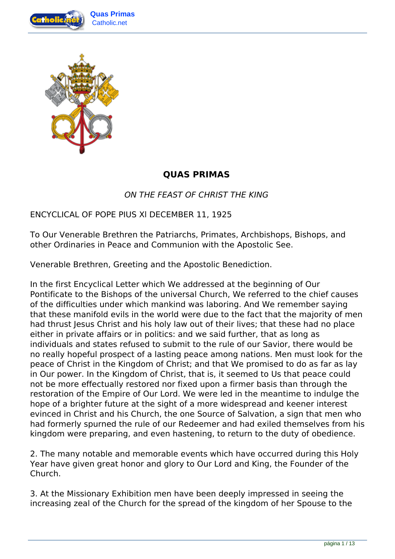



## **QUAS PRIMAS**

*ON THE FEAST OF CHRIST THE KING*

ENCYCLICAL OF POPE PIUS Xl DECEMBER 11, 1925

To Our Venerable Brethren the Patriarchs, Primates, Archbishops, Bishops, and other Ordinaries in Peace and Communion with the Apostolic See.

Venerable Brethren, Greeting and the Apostolic Benediction.

In the first Encyclical Letter which We addressed at the beginning of Our Pontificate to the Bishops of the universal Church, We referred to the chief causes of the difficulties under which mankind was laboring. And We remember saying that these manifold evils in the world were due to the fact that the majority of men had thrust Jesus Christ and his holy law out of their lives; that these had no place either in private affairs or in politics: and we said further, that as long as individuals and states refused to submit to the rule of our Savior, there would be no really hopeful prospect of a lasting peace among nations. Men must look for the peace of Christ in the Kingdom of Christ; and that We promised to do as far as lay in Our power. In the Kingdom of Christ, that is, it seemed to Us that peace could not be more effectually restored nor fixed upon a firmer basis than through the restoration of the Empire of Our Lord. We were led in the meantime to indulge the hope of a brighter future at the sight of a more widespread and keener interest evinced in Christ and his Church, the one Source of Salvation, a sign that men who had formerly spurned the rule of our Redeemer and had exiled themselves from his kingdom were preparing, and even hastening, to return to the duty of obedience.

2. The many notable and memorable events which have occurred during this Holy Year have given great honor and glory to Our Lord and King, the Founder of the Church.

3. At the Missionary Exhibition men have been deeply impressed in seeing the increasing zeal of the Church for the spread of the kingdom of her Spouse to the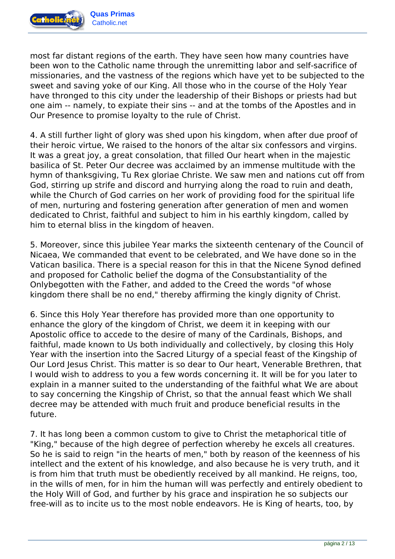

most far distant regions of the earth. They have seen how many countries have been won to the Catholic name through the unremitting labor and self-sacrifice of missionaries, and the vastness of the regions which have yet to be subjected to the sweet and saving yoke of our King. All those who in the course of the Holy Year have thronged to this city under the leadership of their Bishops or priests had but one aim -- namely, to expiate their sins -- and at the tombs of the Apostles and in Our Presence to promise loyalty to the rule of Christ.

4. A still further light of glory was shed upon his kingdom, when after due proof of their heroic virtue, We raised to the honors of the altar six confessors and virgins. It was a great joy, a great consolation, that filled Our heart when in the majestic basilica of St. Peter Our decree was acclaimed by an immense multitude with the hymn of thanksgiving, Tu Rex gloriae Christe. We saw men and nations cut off from God, stirring up strife and discord and hurrying along the road to ruin and death, while the Church of God carries on her work of providing food for the spiritual life of men, nurturing and fostering generation after generation of men and women dedicated to Christ, faithful and subject to him in his earthly kingdom, called by him to eternal bliss in the kingdom of heaven.

5. Moreover, since this jubilee Year marks the sixteenth centenary of the Council of Nicaea, We commanded that event to be celebrated, and We have done so in the Vatican basilica. There is a special reason for this in that the Nicene Synod defined and proposed for Catholic belief the dogma of the Consubstantiality of the Onlybegotten with the Father, and added to the Creed the words "of whose kingdom there shall be no end," thereby affirming the kingly dignity of Christ.

6. Since this Holy Year therefore has provided more than one opportunity to enhance the glory of the kingdom of Christ, we deem it in keeping with our Apostolic office to accede to the desire of many of the Cardinals, Bishops, and faithful, made known to Us both individually and collectively, by closing this Holy Year with the insertion into the Sacred Liturgy of a special feast of the Kingship of Our Lord Jesus Christ. This matter is so dear to Our heart, Venerable Brethren, that I would wish to address to you a few words concerning it. It will be for you later to explain in a manner suited to the understanding of the faithful what We are about to say concerning the Kingship of Christ, so that the annual feast which We shall decree may be attended with much fruit and produce beneficial results in the future.

7. It has long been a common custom to give to Christ the metaphorical title of "King," because of the high degree of perfection whereby he excels all creatures. So he is said to reign "in the hearts of men," both by reason of the keenness of his intellect and the extent of his knowledge, and also because he is very truth, and it is from him that truth must be obediently received by all mankind. He reigns, too, in the wills of men, for in him the human will was perfectly and entirely obedient to the Holy Will of God, and further by his grace and inspiration he so subjects our free-will as to incite us to the most noble endeavors. He is King of hearts, too, by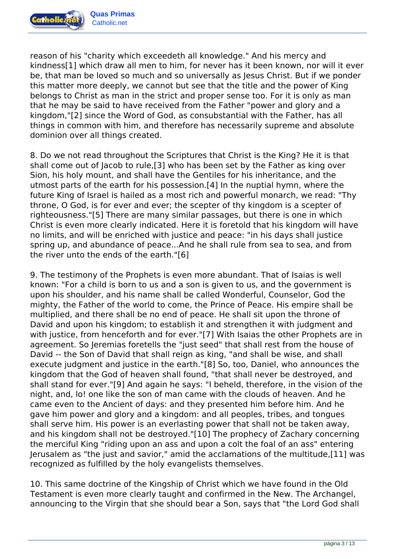

reason of his "charity which exceedeth all knowledge." And his mercy and kindness[1] which draw all men to him, for never has it been known, nor will it ever be, that man be loved so much and so universally as Jesus Christ. But if we ponder this matter more deeply, we cannot but see that the title and the power of King belongs to Christ as man in the strict and proper sense too. For it is only as man that he may be said to have received from the Father "power and glory and a kingdom,"[2] since the Word of God, as consubstantial with the Father, has all things in common with him, and therefore has necessarily supreme and absolute dominion over all things created.

8. Do we not read throughout the Scriptures that Christ is the King? He it is that shall come out of Jacob to rule,[3] who has been set by the Father as king over Sion, his holy mount, and shall have the Gentiles for his inheritance, and the utmost parts of the earth for his possession.[4] In the nuptial hymn, where the future King of Israel is hailed as a most rich and powerful monarch, we read: "Thy throne, O God, is for ever and ever; the scepter of thy kingdom is a scepter of righteousness."[5] There are many similar passages, but there is one in which Christ is even more clearly indicated. Here it is foretold that his kingdom will have no limits, and will be enriched with justice and peace: "in his days shall justice spring up, and abundance of peace...And he shall rule from sea to sea, and from the river unto the ends of the earth."[6]

9. The testimony of the Prophets is even more abundant. That of Isaias is well known: "For a child is born to us and a son is given to us, and the government is upon his shoulder, and his name shall be called Wonderful, Counselor, God the mighty, the Father of the world to come, the Prince of Peace. His empire shall be multiplied, and there shall be no end of peace. He shall sit upon the throne of David and upon his kingdom; to establish it and strengthen it with judgment and with justice, from henceforth and for ever."[7] With Isaias the other Prophets are in agreement. So Jeremias foretells the "just seed" that shall rest from the house of David -- the Son of David that shall reign as king, "and shall be wise, and shall execute judgment and justice in the earth."[8] So, too, Daniel, who announces the kingdom that the God of heaven shall found, "that shall never be destroyed, and shall stand for ever."[9] And again he says: "I beheld, therefore, in the vision of the night, and, lo! one like the son of man came with the clouds of heaven. And he came even to the Ancient of days: and they presented him before him. And he gave him power and glory and a kingdom: and all peoples, tribes, and tongues shall serve him. His power is an everlasting power that shall not be taken away, and his kingdom shall not be destroyed."[10] The prophecy of Zachary concerning the merciful King "riding upon an ass and upon a colt the foal of an ass" entering Jerusalem as "the just and savior," amid the acclamations of the multitude,[11] was recognized as fulfilled by the holy evangelists themselves.

10. This same doctrine of the Kingship of Christ which we have found in the Old Testament is even more clearly taught and confirmed in the New. The Archangel, announcing to the Virgin that she should bear a Son, says that "the Lord God shall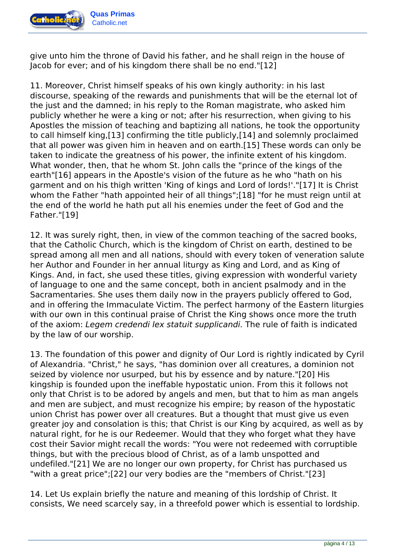

give unto him the throne of David his father, and he shall reign in the house of Jacob for ever; and of his kingdom there shall be no end."[12]

11. Moreover, Christ himself speaks of his own kingly authority: in his last discourse, speaking of the rewards and punishments that will be the eternal lot of the just and the damned; in his reply to the Roman magistrate, who asked him publicly whether he were a king or not; after his resurrection, when giving to his Apostles the mission of teaching and baptizing all nations, he took the opportunity to call himself king,[13] confirming the title publicly,[14] and solemnly proclaimed that all power was given him in heaven and on earth.[15] These words can only be taken to indicate the greatness of his power, the infinite extent of his kingdom. What wonder, then, that he whom St. John calls the "prince of the kings of the earth"[16] appears in the Apostle's vision of the future as he who "hath on his garment and on his thigh written 'King of kings and Lord of lords!'."[17] It is Christ whom the Father "hath appointed heir of all things";[18] "for he must reign until at the end of the world he hath put all his enemies under the feet of God and the Father."[19]

12. It was surely right, then, in view of the common teaching of the sacred books, that the Catholic Church, which is the kingdom of Christ on earth, destined to be spread among all men and all nations, should with every token of veneration salute her Author and Founder in her annual liturgy as King and Lord, and as King of Kings. And, in fact, she used these titles, giving expression with wonderful variety of language to one and the same concept, both in ancient psalmody and in the Sacramentaries. She uses them daily now in the prayers publicly offered to God, and in offering the Immaculate Victim. The perfect harmony of the Eastern liturgies with our own in this continual praise of Christ the King shows once more the truth of the axiom: *Legem credendi lex statuit supplicandi.* The rule of faith is indicated by the law of our worship.

13. The foundation of this power and dignity of Our Lord is rightly indicated by Cyril of Alexandria. "Christ," he says, "has dominion over all creatures, a dominion not seized by violence nor usurped, but his by essence and by nature."[20] His kingship is founded upon the ineffable hypostatic union. From this it follows not only that Christ is to be adored by angels and men, but that to him as man angels and men are subject, and must recognize his empire; by reason of the hypostatic union Christ has power over all creatures. But a thought that must give us even greater joy and consolation is this; that Christ is our King by acquired, as well as by natural right, for he is our Redeemer. Would that they who forget what they have cost their Savior might recall the words: "You were not redeemed with corruptible things, but with the precious blood of Christ, as of a lamb unspotted and undefiled."[21] We are no longer our own property, for Christ has purchased us "with a great price";[22] our very bodies are the "members of Christ."[23]

14. Let Us explain briefly the nature and meaning of this lordship of Christ. It consists, We need scarcely say, in a threefold power which is essential to lordship.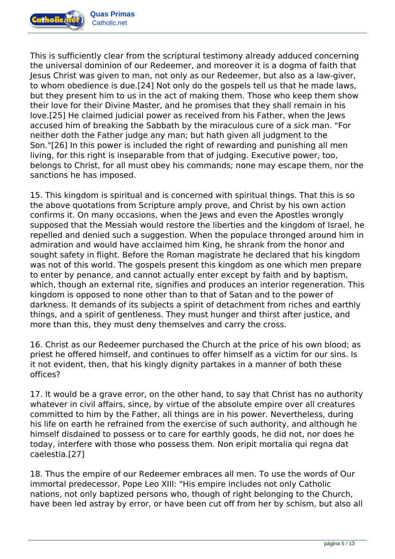

This is sufficiently clear from the scriptural testimony already adduced concerning the universal dominion of our Redeemer, and moreover it is a dogma of faith that Jesus Christ was given to man, not only as our Redeemer, but also as a law-giver, to whom obedience is due.[24] Not only do the gospels tell us that he made laws, but they present him to us in the act of making them. Those who keep them show their love for their Divine Master, and he promises that they shall remain in his love.[25] He claimed judicial power as received from his Father, when the Jews accused him of breaking the Sabbath by the miraculous cure of a sick man. "For neither doth the Father judge any man; but hath given all judgment to the Son."[26] In this power is included the right of rewarding and punishing all men living, for this right is inseparable from that of judging. Executive power, too, belongs to Christ, for all must obey his commands; none may escape them, nor the sanctions he has imposed.

15. This kingdom is spiritual and is concerned with spiritual things. That this is so the above quotations from Scripture amply prove, and Christ by his own action confirms it. On many occasions, when the Jews and even the Apostles wrongly supposed that the Messiah would restore the liberties and the kingdom of Israel, he repelled and denied such a suggestion. When the populace thronged around him in admiration and would have acclaimed him King, he shrank from the honor and sought safety in flight. Before the Roman magistrate he declared that his kingdom was not of this world. The gospels present this kingdom as one which men prepare to enter by penance, and cannot actually enter except by faith and by baptism, which, though an external rite, signifies and produces an interior regeneration. This kingdom is opposed to none other than to that of Satan and to the power of darkness. It demands of its subjects a spirit of detachment from riches and earthly things, and a spirit of gentleness. They must hunger and thirst after justice, and more than this, they must deny themselves and carry the cross.

16. Christ as our Redeemer purchased the Church at the price of his own blood; as priest he offered himself, and continues to offer himself as a victim for our sins. Is it not evident, then, that his kingly dignity partakes in a manner of both these offices?

17. It would be a grave error, on the other hand, to say that Christ has no authority whatever in civil affairs, since, by virtue of the absolute empire over all creatures committed to him by the Father, all things are in his power. Nevertheless, during his life on earth he refrained from the exercise of such authority, and although he himself disdained to possess or to care for earthly goods, he did not, nor does he today, interfere with those who possess them. Non eripit mortalia qui regna dat caelestia.[27]

18. Thus the empire of our Redeemer embraces all men. To use the words of Our immortal predecessor, Pope Leo XIII: "His empire includes not only Catholic nations, not only baptized persons who, though of right belonging to the Church, have been led astray by error, or have been cut off from her by schism, but also all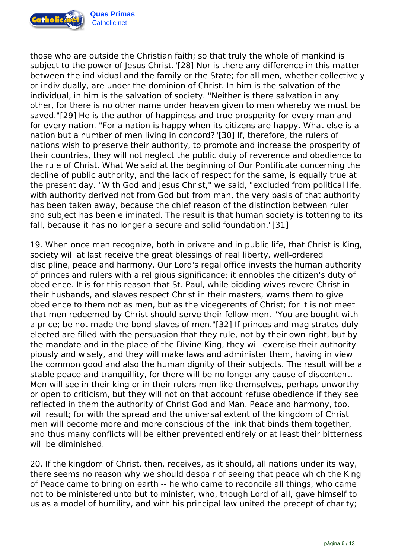

those who are outside the Christian faith; so that truly the whole of mankind is subject to the power of Jesus Christ."[28] Nor is there any difference in this matter between the individual and the family or the State; for all men, whether collectively or individually, are under the dominion of Christ. In him is the salvation of the individual, in him is the salvation of society. "Neither is there salvation in any other, for there is no other name under heaven given to men whereby we must be saved."[29] He is the author of happiness and true prosperity for every man and for every nation. "For a nation is happy when its citizens are happy. What else is a nation but a number of men living in concord?"[30] If, therefore, the rulers of nations wish to preserve their authority, to promote and increase the prosperity of their countries, they will not neglect the public duty of reverence and obedience to the rule of Christ. What We said at the beginning of Our Pontificate concerning the decline of public authority, and the lack of respect for the same, is equally true at the present day. "With God and Jesus Christ," we said, "excluded from political life, with authority derived not from God but from man, the very basis of that authority has been taken away, because the chief reason of the distinction between ruler and subject has been eliminated. The result is that human society is tottering to its fall, because it has no longer a secure and solid foundation."[31]

19. When once men recognize, both in private and in public life, that Christ is King, society will at last receive the great blessings of real liberty, well-ordered discipline, peace and harmony. Our Lord's regal office invests the human authority of princes and rulers with a religious significance; it ennobles the citizen's duty of obedience. It is for this reason that St. Paul, while bidding wives revere Christ in their husbands, and slaves respect Christ in their masters, warns them to give obedience to them not as men, but as the vicegerents of Christ; for it is not meet that men redeemed by Christ should serve their fellow-men. "You are bought with a price; be not made the bond-slaves of men."[32] If princes and magistrates duly elected are filled with the persuasion that they rule, not by their own right, but by the mandate and in the place of the Divine King, they will exercise their authority piously and wisely, and they will make laws and administer them, having in view the common good and also the human dignity of their subjects. The result will be a stable peace and tranquillity, for there will be no longer any cause of discontent. Men will see in their king or in their rulers men like themselves, perhaps unworthy or open to criticism, but they will not on that account refuse obedience if they see reflected in them the authority of Christ God and Man. Peace and harmony, too, will result; for with the spread and the universal extent of the kingdom of Christ men will become more and more conscious of the link that binds them together, and thus many conflicts will be either prevented entirely or at least their bitterness will be diminished.

20. If the kingdom of Christ, then, receives, as it should, all nations under its way, there seems no reason why we should despair of seeing that peace which the King of Peace came to bring on earth -- he who came to reconcile all things, who came not to be ministered unto but to minister, who, though Lord of all, gave himself to us as a model of humility, and with his principal law united the precept of charity;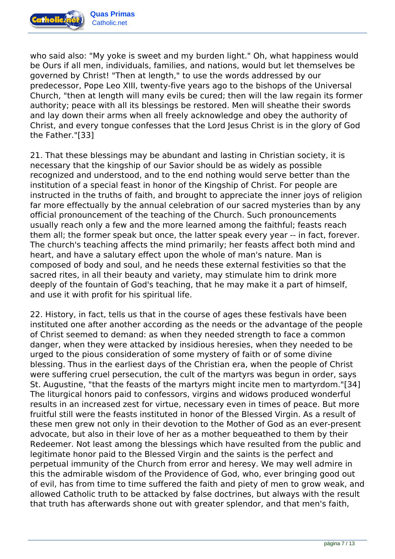

who said also: "My yoke is sweet and my burden light." Oh, what happiness would be Ours if all men, individuals, families, and nations, would but let themselves be governed by Christ! "Then at length," to use the words addressed by our predecessor, Pope Leo XIII, twenty-five years ago to the bishops of the Universal Church, "then at length will many evils be cured; then will the law regain its former authority; peace with all its blessings be restored. Men will sheathe their swords and lay down their arms when all freely acknowledge and obey the authority of Christ, and every tongue confesses that the Lord Jesus Christ is in the glory of God the Father."[33]

21. That these blessings may be abundant and lasting in Christian society, it is necessary that the kingship of our Savior should be as widely as possible recognized and understood, and to the end nothing would serve better than the institution of a special feast in honor of the Kingship of Christ. For people are instructed in the truths of faith, and brought to appreciate the inner joys of religion far more effectually by the annual celebration of our sacred mysteries than by any official pronouncement of the teaching of the Church. Such pronouncements usually reach only a few and the more learned among the faithful; feasts reach them all; the former speak but once, the latter speak every year -- in fact, forever. The church's teaching affects the mind primarily; her feasts affect both mind and heart, and have a salutary effect upon the whole of man's nature. Man is composed of body and soul, and he needs these external festivities so that the sacred rites, in all their beauty and variety, may stimulate him to drink more deeply of the fountain of God's teaching, that he may make it a part of himself, and use it with profit for his spiritual life.

22. History, in fact, tells us that in the course of ages these festivals have been instituted one after another according as the needs or the advantage of the people of Christ seemed to demand: as when they needed strength to face a common danger, when they were attacked by insidious heresies, when they needed to be urged to the pious consideration of some mystery of faith or of some divine blessing. Thus in the earliest days of the Christian era, when the people of Christ were suffering cruel persecution, the cult of the martyrs was begun in order, says St. Augustine, "that the feasts of the martyrs might incite men to martyrdom."[34] The liturgical honors paid to confessors, virgins and widows produced wonderful results in an increased zest for virtue, necessary even in times of peace. But more fruitful still were the feasts instituted in honor of the Blessed Virgin. As a result of these men grew not only in their devotion to the Mother of God as an ever-present advocate, but also in their love of her as a mother bequeathed to them by their Redeemer. Not least among the blessings which have resulted from the public and legitimate honor paid to the Blessed Virgin and the saints is the perfect and perpetual immunity of the Church from error and heresy. We may well admire in this the admirable wisdom of the Providence of God, who, ever bringing good out of evil, has from time to time suffered the faith and piety of men to grow weak, and allowed Catholic truth to be attacked by false doctrines, but always with the result that truth has afterwards shone out with greater splendor, and that men's faith,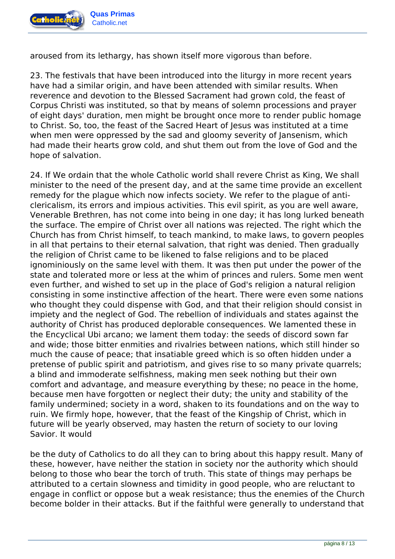

aroused from its lethargy, has shown itself more vigorous than before.

23. The festivals that have been introduced into the liturgy in more recent years have had a similar origin, and have been attended with similar results. When reverence and devotion to the Blessed Sacrament had grown cold, the feast of Corpus Christi was instituted, so that by means of solemn processions and prayer of eight days' duration, men might be brought once more to render public homage to Christ. So, too, the feast of the Sacred Heart of Jesus was instituted at a time when men were oppressed by the sad and gloomy severity of Jansenism, which had made their hearts grow cold, and shut them out from the love of God and the hope of salvation.

24. If We ordain that the whole Catholic world shall revere Christ as King, We shall minister to the need of the present day, and at the same time provide an excellent remedy for the plague which now infects society. We refer to the plague of anticlericalism, its errors and impious activities. This evil spirit, as you are well aware, Venerable Brethren, has not come into being in one day; it has long lurked beneath the surface. The empire of Christ over all nations was rejected. The right which the Church has from Christ himself, to teach mankind, to make laws, to govern peoples in all that pertains to their eternal salvation, that right was denied. Then gradually the religion of Christ came to be likened to false religions and to be placed ignominiously on the same level with them. It was then put under the power of the state and tolerated more or less at the whim of princes and rulers. Some men went even further, and wished to set up in the place of God's religion a natural religion consisting in some instinctive affection of the heart. There were even some nations who thought they could dispense with God, and that their religion should consist in impiety and the neglect of God. The rebellion of individuals and states against the authority of Christ has produced deplorable consequences. We lamented these in the Encyclical Ubi arcano; we lament them today: the seeds of discord sown far and wide; those bitter enmities and rivalries between nations, which still hinder so much the cause of peace; that insatiable greed which is so often hidden under a pretense of public spirit and patriotism, and gives rise to so many private quarrels; a blind and immoderate selfishness, making men seek nothing but their own comfort and advantage, and measure everything by these; no peace in the home, because men have forgotten or neglect their duty; the unity and stability of the family undermined; society in a word, shaken to its foundations and on the way to ruin. We firmly hope, however, that the feast of the Kingship of Christ, which in future will be yearly observed, may hasten the return of society to our loving Savior. It would

be the duty of Catholics to do all they can to bring about this happy result. Many of these, however, have neither the station in society nor the authority which should belong to those who bear the torch of truth. This state of things may perhaps be attributed to a certain slowness and timidity in good people, who are reluctant to engage in conflict or oppose but a weak resistance; thus the enemies of the Church become bolder in their attacks. But if the faithful were generally to understand that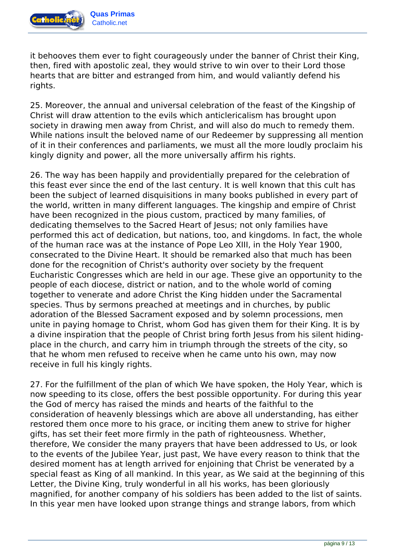

it behooves them ever to fight courageously under the banner of Christ their King, then, fired with apostolic zeal, they would strive to win over to their Lord those hearts that are bitter and estranged from him, and would valiantly defend his rights.

25. Moreover, the annual and universal celebration of the feast of the Kingship of Christ will draw attention to the evils which anticlericalism has brought upon society in drawing men away from Christ, and will also do much to remedy them. While nations insult the beloved name of our Redeemer by suppressing all mention of it in their conferences and parliaments, we must all the more loudly proclaim his kingly dignity and power, all the more universally affirm his rights.

26. The way has been happily and providentially prepared for the celebration of this feast ever since the end of the last century. It is well known that this cult has been the subject of learned disquisitions in many books published in every part of the world, written in many different languages. The kingship and empire of Christ have been recognized in the pious custom, practiced by many families, of dedicating themselves to the Sacred Heart of Jesus; not only families have performed this act of dedication, but nations, too, and kingdoms. In fact, the whole of the human race was at the instance of Pope Leo XIII, in the Holy Year 1900, consecrated to the Divine Heart. It should be remarked also that much has been done for the recognition of Christ's authority over society by the frequent Eucharistic Congresses which are held in our age. These give an opportunity to the people of each diocese, district or nation, and to the whole world of coming together to venerate and adore Christ the King hidden under the Sacramental species. Thus by sermons preached at meetings and in churches, by public adoration of the Blessed Sacrament exposed and by solemn processions, men unite in paying homage to Christ, whom God has given them for their King. It is by a divine inspiration that the people of Christ bring forth Jesus from his silent hidingplace in the church, and carry him in triumph through the streets of the city, so that he whom men refused to receive when he came unto his own, may now receive in full his kingly rights.

27. For the fulfillment of the plan of which We have spoken, the Holy Year, which is now speeding to its close, offers the best possible opportunity. For during this year the God of mercy has raised the minds and hearts of the faithful to the consideration of heavenly blessings which are above all understanding, has either restored them once more to his grace, or inciting them anew to strive for higher gifts, has set their feet more firmly in the path of righteousness. Whether, therefore, We consider the many prayers that have been addressed to Us, or look to the events of the Jubilee Year, just past, We have every reason to think that the desired moment has at length arrived for enjoining that Christ be venerated by a special feast as King of all mankind. In this year, as We said at the beginning of this Letter, the Divine King, truly wonderful in all his works, has been gloriously magnified, for another company of his soldiers has been added to the list of saints. In this year men have looked upon strange things and strange labors, from which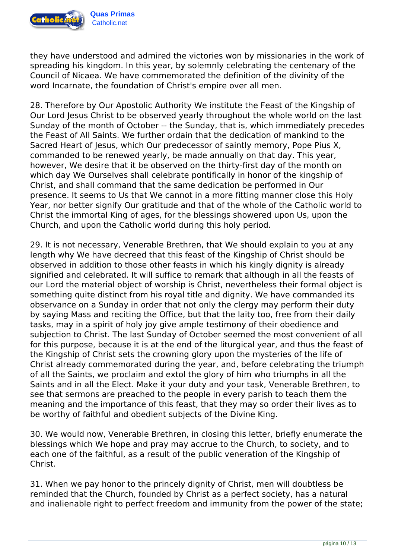

they have understood and admired the victories won by missionaries in the work of spreading his kingdom. In this year, by solemnly celebrating the centenary of the Council of Nicaea. We have commemorated the definition of the divinity of the word Incarnate, the foundation of Christ's empire over all men.

28. Therefore by Our Apostolic Authority We institute the Feast of the Kingship of Our Lord Jesus Christ to be observed yearly throughout the whole world on the last Sunday of the month of October -- the Sunday, that is, which immediately precedes the Feast of All Saints. We further ordain that the dedication of mankind to the Sacred Heart of Jesus, which Our predecessor of saintly memory, Pope Pius X, commanded to be renewed yearly, be made annually on that day. This year, however, We desire that it be observed on the thirty-first day of the month on which day We Ourselves shall celebrate pontifically in honor of the kingship of Christ, and shall command that the same dedication be performed in Our presence. It seems to Us that We cannot in a more fitting manner close this Holy Year, nor better signify Our gratitude and that of the whole of the Catholic world to Christ the immortal King of ages, for the blessings showered upon Us, upon the Church, and upon the Catholic world during this holy period.

29. It is not necessary, Venerable Brethren, that We should explain to you at any length why We have decreed that this feast of the Kingship of Christ should be observed in addition to those other feasts in which his kingly dignity is already signified and celebrated. It will suffice to remark that although in all the feasts of our Lord the material object of worship is Christ, nevertheless their formal object is something quite distinct from his royal title and dignity. We have commanded its observance on a Sunday in order that not only the clergy may perform their duty by saying Mass and reciting the Office, but that the laity too, free from their daily tasks, may in a spirit of holy joy give ample testimony of their obedience and subjection to Christ. The last Sunday of October seemed the most convenient of all for this purpose, because it is at the end of the liturgical year, and thus the feast of the Kingship of Christ sets the crowning glory upon the mysteries of the life of Christ already commemorated during the year, and, before celebrating the triumph of all the Saints, we proclaim and extol the glory of him who triumphs in all the Saints and in all the Elect. Make it your duty and your task, Venerable Brethren, to see that sermons are preached to the people in every parish to teach them the meaning and the importance of this feast, that they may so order their lives as to be worthy of faithful and obedient subjects of the Divine King.

30. We would now, Venerable Brethren, in closing this letter, briefly enumerate the blessings which We hope and pray may accrue to the Church, to society, and to each one of the faithful, as a result of the public veneration of the Kingship of Christ.

31. When we pay honor to the princely dignity of Christ, men will doubtless be reminded that the Church, founded by Christ as a perfect society, has a natural and inalienable right to perfect freedom and immunity from the power of the state;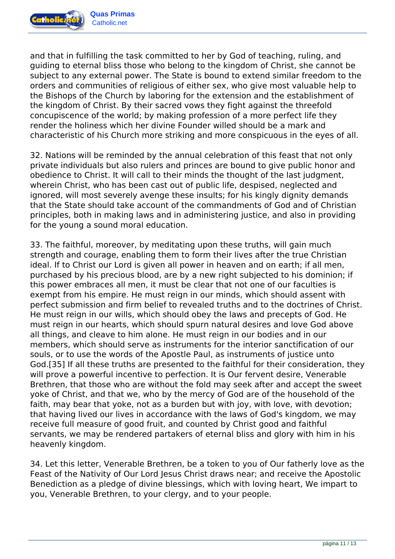

and that in fulfilling the task committed to her by God of teaching, ruling, and guiding to eternal bliss those who belong to the kingdom of Christ, she cannot be subject to any external power. The State is bound to extend similar freedom to the orders and communities of religious of either sex, who give most valuable help to the Bishops of the Church by laboring for the extension and the establishment of the kingdom of Christ. By their sacred vows they fight against the threefold concupiscence of the world; by making profession of a more perfect life they render the holiness which her divine Founder willed should be a mark and characteristic of his Church more striking and more conspicuous in the eyes of all.

32. Nations will be reminded by the annual celebration of this feast that not only private individuals but also rulers and princes are bound to give public honor and obedience to Christ. It will call to their minds the thought of the last judgment, wherein Christ, who has been cast out of public life, despised, neglected and ignored, will most severely avenge these insults; for his kingly dignity demands that the State should take account of the commandments of God and of Christian principles, both in making laws and in administering justice, and also in providing for the young a sound moral education.

33. The faithful, moreover, by meditating upon these truths, will gain much strength and courage, enabling them to form their lives after the true Christian ideal. If to Christ our Lord is given all power in heaven and on earth; if all men, purchased by his precious blood, are by a new right subjected to his dominion; if this power embraces all men, it must be clear that not one of our faculties is exempt from his empire. He must reign in our minds, which should assent with perfect submission and firm belief to revealed truths and to the doctrines of Christ. He must reign in our wills, which should obey the laws and precepts of God. He must reign in our hearts, which should spurn natural desires and love God above all things, and cleave to him alone. He must reign in our bodies and in our members, which should serve as instruments for the interior sanctification of our souls, or to use the words of the Apostle Paul, as instruments of justice unto God.[35] If all these truths are presented to the faithful for their consideration, they will prove a powerful incentive to perfection. It is Our fervent desire, Venerable Brethren, that those who are without the fold may seek after and accept the sweet yoke of Christ, and that we, who by the mercy of God are of the household of the faith, may bear that yoke, not as a burden but with joy, with love, with devotion; that having lived our lives in accordance with the laws of God's kingdom, we may receive full measure of good fruit, and counted by Christ good and faithful servants, we may be rendered partakers of eternal bliss and glory with him in his heavenly kingdom.

34. Let this letter, Venerable Brethren, be a token to you of Our fatherly love as the Feast of the Nativity of Our Lord Jesus Christ draws near; and receive the Apostolic Benediction as a pledge of divine blessings, which with loving heart, We impart to you, Venerable Brethren, to your clergy, and to your people.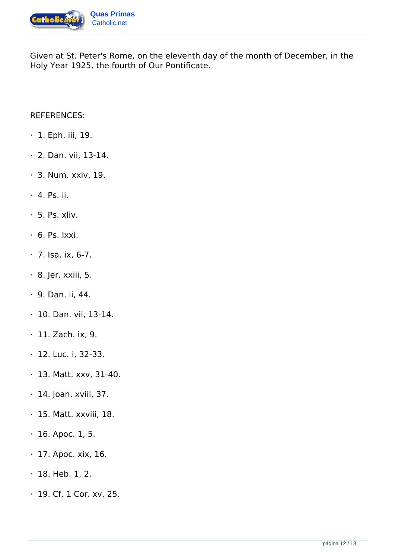

Given at St. Peter's Rome, on the eleventh day of the month of December, in the Holy Year 1925, the fourth of Our Pontificate.

## REFERENCES:

- · 1. Eph. iii, 19.
- · 2. Dan. vii, 13-14.
- · 3. Num. xxiv, 19.
- · 4. Ps. ii.
- · 5. Ps. xliv.
- · 6. Ps. Ixxi.
- · 7. Isa. ix, 6-7.
- · 8. Jer. xxiii, 5.
- · 9. Dan. ii, 44.
- · 10. Dan. vii, 13-14.
- · 11. Zach. ix, 9.
- · 12. Luc. i, 32-33.
- · 13. Matt. xxv, 31-40.
- · 14. Joan. xviii, 37.
- · 15. Matt. xxviii, 18.
- $\cdot$  16. Apoc. 1, 5.
- · 17. Apoc. xix, 16.
- · 18. Heb. 1, 2.
- · 19. Cf. 1 Cor. xv, 25.